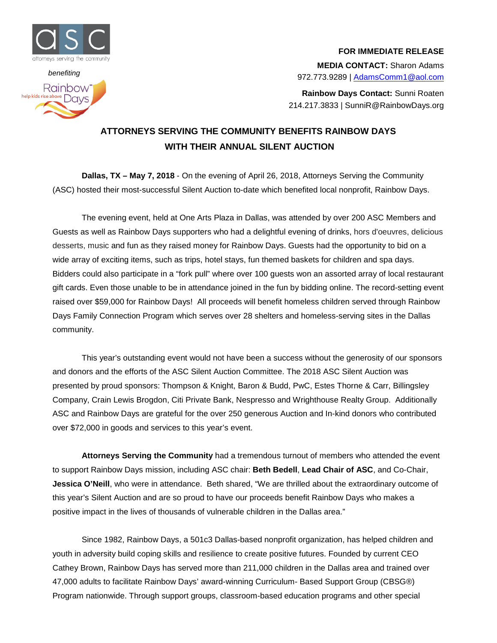

## *benefiting* Rainbow<sup>®</sup> help kids rise above DOVS

## **FOR IMMEDIATE RELEASE**

**MEDIA CONTACT:** Sharon Adams 972.773.9289 | [AdamsComm1@aol.com](mailto:AdamsComm1@aol.com)

**Rainbow Days Contact:** Sunni Roaten 214.217.3833 | SunniR@RainbowDays.org

## **ATTORNEYS SERVING THE COMMUNITY BENEFITS RAINBOW DAYS WITH THEIR ANNUAL SILENT AUCTION**

**Dallas, TX – May 7, 2018** - On the evening of April 26, 2018, Attorneys Serving the Community (ASC) hosted their most-successful Silent Auction to-date which benefited local nonprofit, Rainbow Days.

The evening event, held at One Arts Plaza in Dallas, was attended by over 200 ASC Members and Guests as well as Rainbow Days supporters who had a delightful evening of drinks, hors d'oeuvres, delicious desserts, music and fun as they raised money for Rainbow Days. Guests had the opportunity to bid on a wide array of exciting items, such as trips, hotel stays, fun themed baskets for children and spa days. Bidders could also participate in a "fork pull" where over 100 guests won an assorted array of local restaurant gift cards. Even those unable to be in attendance joined in the fun by bidding online. The record-setting event raised over \$59,000 for Rainbow Days! All proceeds will benefit homeless children served through Rainbow Days Family Connection Program which serves over 28 shelters and homeless-serving sites in the Dallas community.

This year's outstanding event would not have been a success without the generosity of our sponsors and donors and the efforts of the ASC Silent Auction Committee. The 2018 ASC Silent Auction was presented by proud sponsors: Thompson & Knight, Baron & Budd, PwC, Estes Thorne & Carr, Billingsley Company, Crain Lewis Brogdon, Citi Private Bank, Nespresso and Wrighthouse Realty Group. Additionally ASC and Rainbow Days are grateful for the over 250 generous Auction and In-kind donors who contributed over \$72,000 in goods and services to this year's event.

**Attorneys Serving the Community** had a tremendous turnout of members who attended the event to support Rainbow Days mission, including ASC chair: **Beth Bedell**, **Lead Chair of ASC**, and Co-Chair, **Jessica O'Neill**, who were in attendance. Beth shared, "We are thrilled about the extraordinary outcome of this year's Silent Auction and are so proud to have our proceeds benefit Rainbow Days who makes a positive impact in the lives of thousands of vulnerable children in the Dallas area."

Since 1982, Rainbow Days, a 501c3 Dallas-based nonprofit organization, has helped children and youth in adversity build coping skills and resilience to create positive futures. Founded by current CEO Cathey Brown, Rainbow Days has served more than 211,000 children in the Dallas area and trained over 47,000 adults to facilitate Rainbow Days' award-winning Curriculum- Based Support Group (CBSG®) Program nationwide. Through support groups, classroom-based education programs and other special